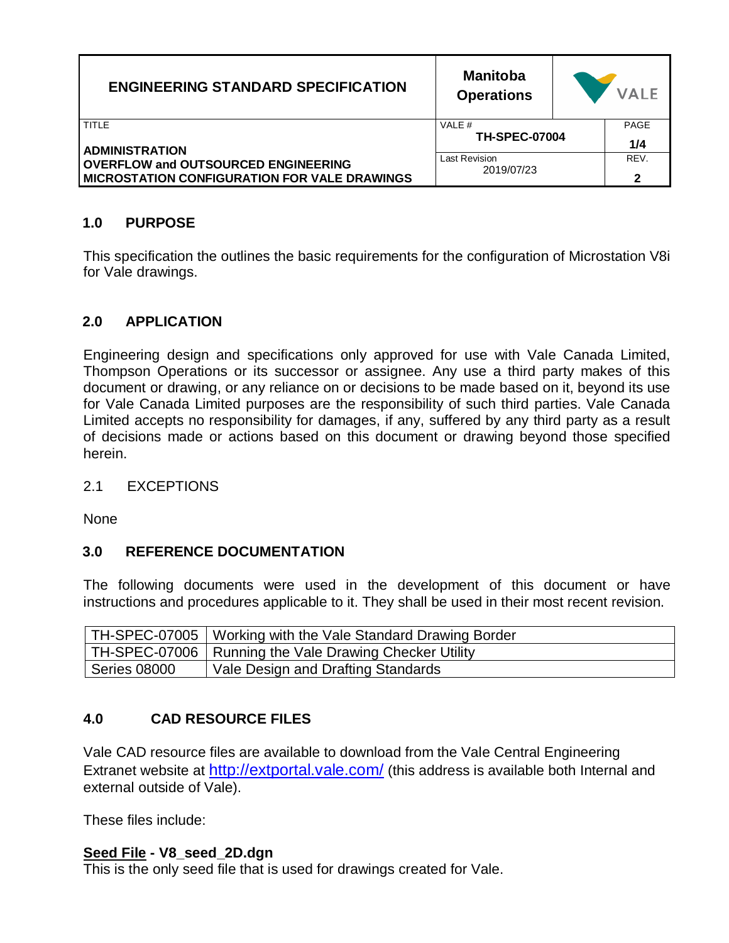| <b>ENGINEERING STANDARD SPECIFICATION</b>                         | <b>Manitoba</b><br><b>Operations</b> |  | <b>VALE</b> |
|-------------------------------------------------------------------|--------------------------------------|--|-------------|
| TITLE                                                             | VALE #<br><b>TH-SPEC-07004</b>       |  | <b>PAGE</b> |
| <b>ADMINISTRATION</b>                                             |                                      |  | 1/4         |
| <b>OVERFLOW and OUTSOURCED ENGINEERING</b>                        | Last Revision                        |  | REV.        |
| 2019/07/23<br><b>MICROSTATION CONFIGURATION FOR VALE DRAWINGS</b> |                                      |  | 2           |

## **1.0 PURPOSE**

This specification the outlines the basic requirements for the configuration of Microstation V8i for Vale drawings.

## **2.0 APPLICATION**

Engineering design and specifications only approved for use with Vale Canada Limited, Thompson Operations or its successor or assignee. Any use a third party makes of this document or drawing, or any reliance on or decisions to be made based on it, beyond its use for Vale Canada Limited purposes are the responsibility of such third parties. Vale Canada Limited accepts no responsibility for damages, if any, suffered by any third party as a result of decisions made or actions based on this document or drawing beyond those specified herein.

#### 2.1 EXCEPTIONS

None

#### **3.0 REFERENCE DOCUMENTATION**

The following documents were used in the development of this document or have instructions and procedures applicable to it. They shall be used in their most recent revision.

|              | TH-SPEC-07005   Working with the Vale Standard Drawing Border |
|--------------|---------------------------------------------------------------|
|              | TH-SPEC-07006   Running the Vale Drawing Checker Utility      |
| Series 08000 | Vale Design and Drafting Standards                            |

# **4.0 CAD RESOURCE FILES**

Vale CAD resource files are available to download from the Vale Central Engineering Extranet website at <http://extportal.vale.com/> (this address is available both Internal and external outside of Vale).

These files include:

#### **Seed File - V8\_seed\_2D.dgn**

This is the only seed file that is used for drawings created for Vale.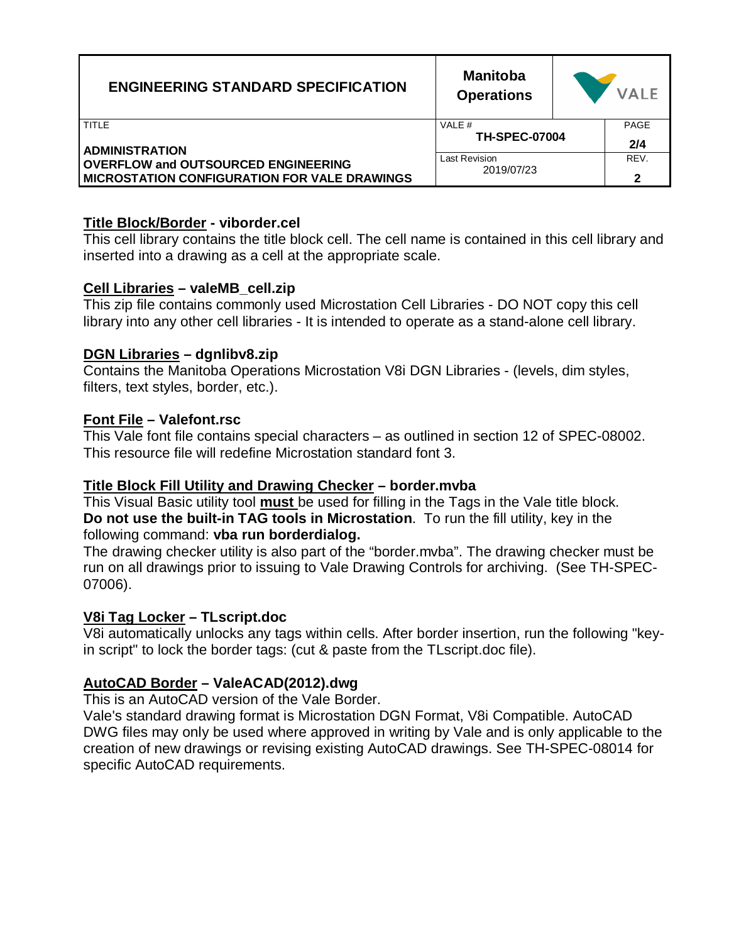| <b>ENGINEERING STANDARD SPECIFICATION</b>           | <b>Manitoba</b><br><b>Operations</b> |  | <b>VALE</b> |
|-----------------------------------------------------|--------------------------------------|--|-------------|
| TITLE                                               | VALE #<br><b>TH-SPEC-07004</b>       |  | PAGE        |
| <b>ADMINISTRATION</b>                               |                                      |  | 2/4         |
| <b>OVERFLOW and OUTSOURCED ENGINEERING</b>          | Last Revision<br>2019/07/23          |  | REV.        |
| <b>MICROSTATION CONFIGURATION FOR VALE DRAWINGS</b> |                                      |  | 2           |

#### **Title Block/Border - viborder.cel**

This cell library contains the title block cell. The cell name is contained in this cell library and inserted into a drawing as a cell at the appropriate scale.

## **Cell Libraries – valeMB\_cell.zip**

This zip file contains commonly used Microstation Cell Libraries - DO NOT copy this cell library into any other cell libraries - It is intended to operate as a stand-alone cell library.

## **DGN Libraries – dgnlibv8.zip**

Contains the Manitoba Operations Microstation V8i DGN Libraries - (levels, dim styles, filters, text styles, border, etc.).

## **Font File – Valefont.rsc**

This Vale font file contains special characters – as outlined in section 12 of SPEC-08002. This resource file will redefine Microstation standard font 3.

# **Title Block Fill Utility and Drawing Checker – border.mvba**

This Visual Basic utility tool **must** be used for filling in the Tags in the Vale title block. **Do not use the built-in TAG tools in Microstation**. To run the fill utility, key in the following command: **vba run borderdialog.**

The drawing checker utility is also part of the "border.mvba". The drawing checker must be run on all drawings prior to issuing to Vale Drawing Controls for archiving. (See TH-SPEC-07006).

# **V8i Tag Locker – TLscript.doc**

V8i automatically unlocks any tags within cells. After border insertion, run the following "keyin script" to lock the border tags: (cut & paste from the TLscript.doc file).

# **AutoCAD Border – ValeACAD(2012).dwg**

This is an AutoCAD version of the Vale Border.

Vale's standard drawing format is Microstation DGN Format, V8i Compatible. AutoCAD DWG files may only be used where approved in writing by Vale and is only applicable to the creation of new drawings or revising existing AutoCAD drawings. See TH-SPEC-08014 for specific AutoCAD requirements.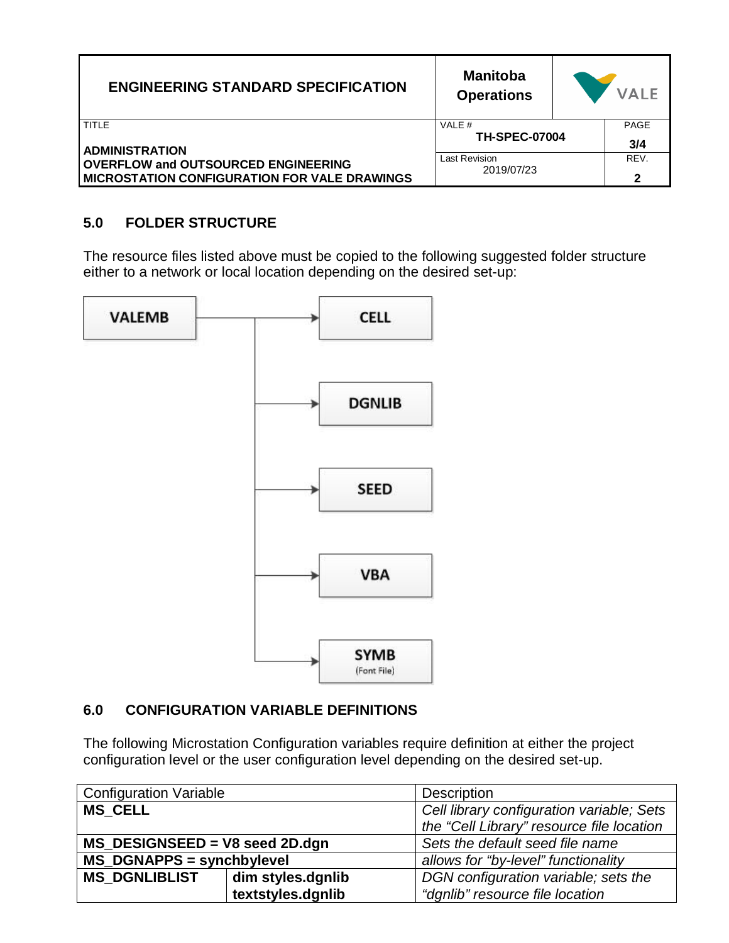| <b>ENGINEERING STANDARD SPECIFICATION</b>           | <b>Manitoba</b><br><b>Operations</b> | <b>VALE</b> |
|-----------------------------------------------------|--------------------------------------|-------------|
| TITLE                                               | VALE #                               | <b>PAGE</b> |
| <b>ADMINISTRATION</b>                               | <b>TH-SPEC-07004</b>                 | 3/4         |
| <b>OVERFLOW and OUTSOURCED ENGINEERING</b>          | Last Revision                        | REV.        |
| <b>MICROSTATION CONFIGURATION FOR VALE DRAWINGS</b> | 2019/07/23                           | 2           |

# **5.0 FOLDER STRUCTURE**

The resource files listed above must be copied to the following suggested folder structure either to a network or local location depending on the desired set-up:



# **6.0 CONFIGURATION VARIABLE DEFINITIONS**

The following Microstation Configuration variables require definition at either the project configuration level or the user configuration level depending on the desired set-up.

| <b>Configuration Variable</b>    |                   | <b>Description</b>                        |  |
|----------------------------------|-------------------|-------------------------------------------|--|
| <b>MS CELL</b>                   |                   | Cell library configuration variable; Sets |  |
|                                  |                   | the "Cell Library" resource file location |  |
| $MS$ DESIGNSEED = V8 seed 2D.dgn |                   | Sets the default seed file name           |  |
| <b>MS DGNAPPS = synchbylevel</b> |                   | allows for "by-level" functionality       |  |
| <b>MS DGNLIBLIST</b>             | dim styles.dgnlib | DGN configuration variable; sets the      |  |
|                                  | textstyles.dgnlib | "dgnlib" resource file location           |  |